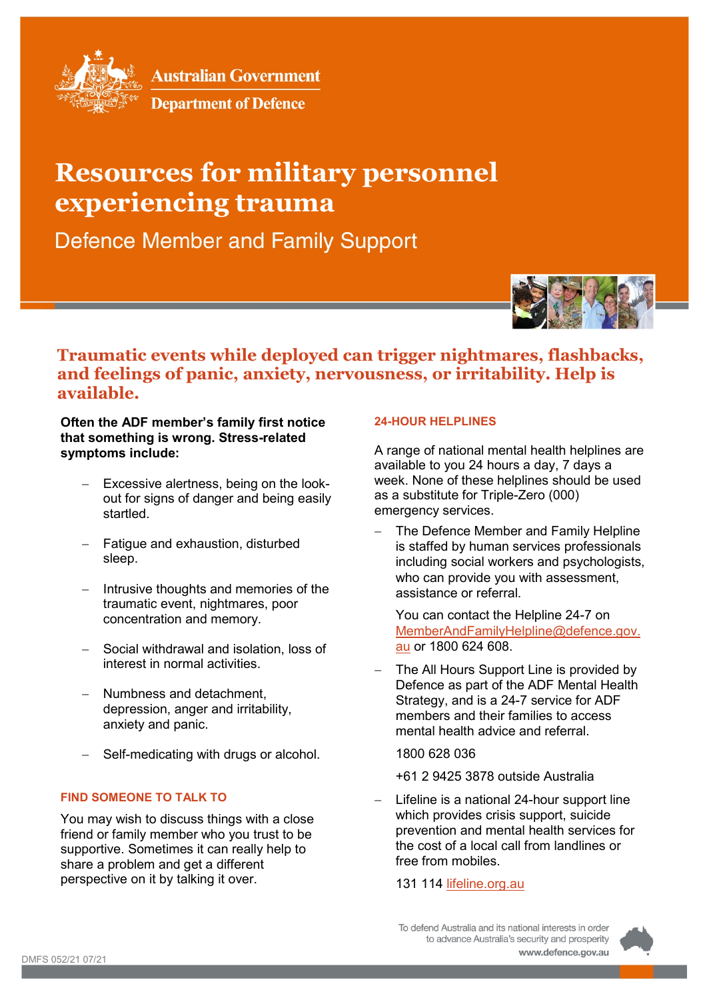

**Australian Government** 

**Department of Defence** 

# **Resources for military personnel experiencing trauma**

**Defence Member and Family Support** 



## **Traumatic events while deployed can trigger nightmares, flashbacks, and feelings of panic, anxiety, nervousness, or irritability. Help is available.**

### **Often the ADF member's family first notice that something is wrong. Stress-related symptoms include:**

- − Excessive alertness, being on the lookout for signs of danger and being easily startled.
- Fatigue and exhaustion, disturbed sleep.
- − Intrusive thoughts and memories of the traumatic event, nightmares, poor concentration and memory.
- − Social withdrawal and isolation, loss of interest in normal activities.
- − Numbness and detachment, depression, anger and irritability, anxiety and panic.
- Self-medicating with drugs or alcohol.

#### **FIND SOMEONE TO TALK TO**

You may wish to discuss things with a close friend or family member who you trust to be supportive. Sometimes it can really help to share a problem and get a different perspective on it by talking it over.

#### **24-HOUR HELPLINES**

A range of national mental health helplines are available to you 24 hours a day, 7 days a week. None of these helplines should be used as a substitute for Triple-Zero (000) emergency services.

The Defence Member and Family Helpline is staffed by human services professionals including social workers and psychologists, who can provide you with assessment, assistance or referral.

You can contact the Helpline 24-7 on [MemberAndFamilyHelpline@defence.gov.](mailto:memberandfamilyhelpline@defence.gov.au) [au](mailto:memberandfamilyhelpline@defence.gov.au) or 1800 624 608.

The All Hours Support Line is provided by Defence as part of the ADF Mental Health Strategy, and is a 24-7 service for ADF members and their families to access mental health advice and referral.

1800 628 036

- +61 2 9425 3878 outside Australia
- Lifeline is a national 24-hour support line which provides crisis support, suicide prevention and mental health services for the cost of a local call from landlines or free from mobiles.

131 114 [lifeline.org.au](https://lifeline.org.au/)